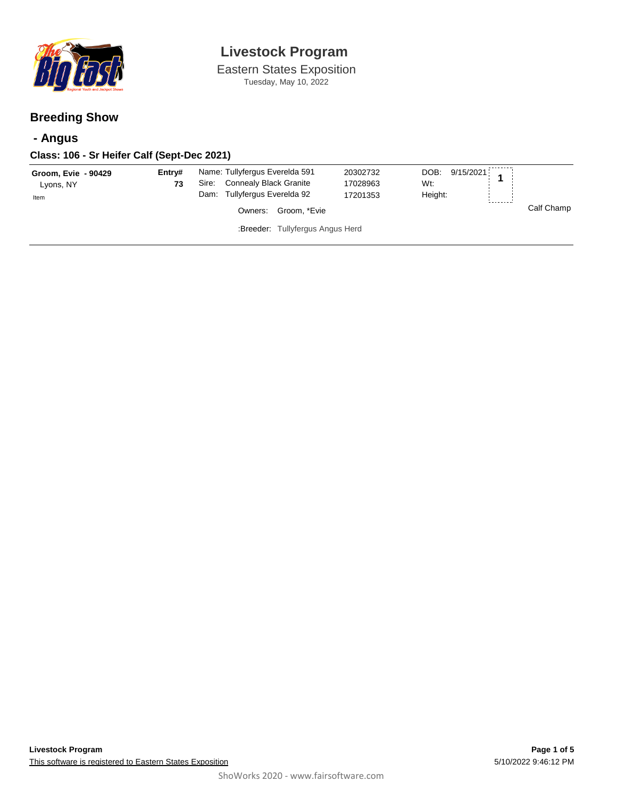

Eastern States Exposition Tuesday, May 10, 2022

### **Breeding Show**

## **- Angus**

### **Class: 106 - Sr Heifer Calf (Sept-Dec 2021)**

| Groom, Evie - 90429<br>Lyons, NY | Entry#<br>73 | Name: Tullyfergus Everelda 591<br>Connealy Black Granite<br>Sire: | 20302732<br>17028963 | 9/15/2021<br>DOB:<br>Wt: |            |
|----------------------------------|--------------|-------------------------------------------------------------------|----------------------|--------------------------|------------|
| Item                             |              | Dam: Tullyfergus Everelda 92                                      | 17201353             | Height:<br>--------      |            |
|                                  |              | Groom. *Evie<br>Owners:                                           |                      |                          | Calf Champ |
| :Breeder: Tullyfergus Angus Herd |              |                                                                   |                      |                          |            |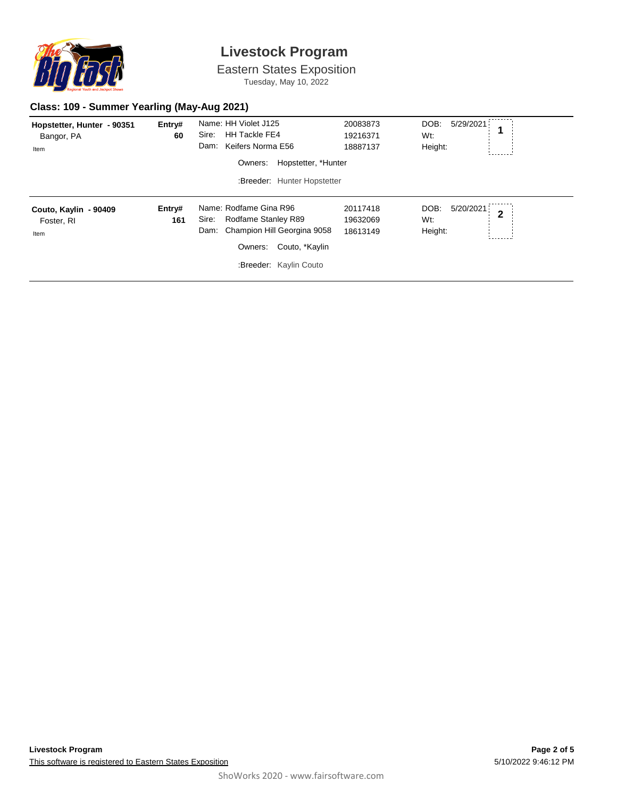

Eastern States Exposition Tuesday, May 10, 2022

#### **Class: 109 - Summer Yearling (May-Aug 2021)**

| Hopstetter, Hunter - 90351<br>Bangor, PA<br>Item | Entry#<br>60  | Name: HH Violet J125<br>Sire:<br><b>HH Tackle FE4</b><br>Keifers Norma E56<br>Dam:<br>Hopstetter, *Hunter<br>Owners:<br>:Breeder: Hunter Hopstetter  | 20083873<br>19216371<br>18887137 | DOB:<br>5/29/2021<br>Wt:<br>Height:                   |  |
|--------------------------------------------------|---------------|------------------------------------------------------------------------------------------------------------------------------------------------------|----------------------------------|-------------------------------------------------------|--|
| Couto, Kaylin - 90409<br>Foster, RI<br>Item      | Entry#<br>161 | Name: Rodfame Gina R96<br>Rodfame Stanley R89<br>Sire:<br>Champion Hill Georgina 9058<br>Dam:<br>Owners:<br>Couto, *Kaylin<br>:Breeder: Kaylin Couto | 20117418<br>19632069<br>18613149 | 5/20/2021<br>DOB:<br>$\overline{2}$<br>Wt:<br>Height: |  |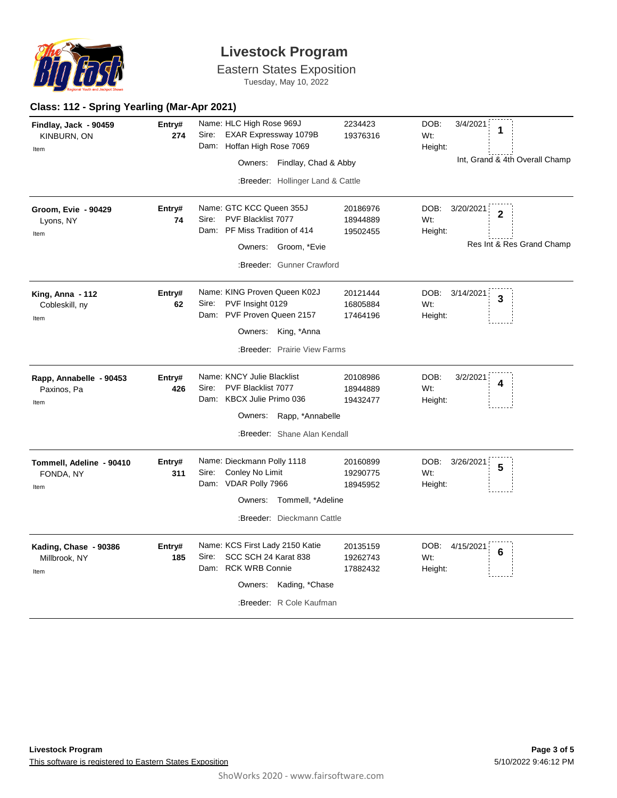

Eastern States Exposition

Tuesday, May 10, 2022

### **Class: 112 - Spring Yearling (Mar-Apr 2021)**

| Findlay, Jack - 90459<br>KINBURN, ON<br>Item    | Entry#<br>274 | Name: HLC High Rose 969J<br>Sire:<br>EXAR Expressway 1079B<br>Dam: Hoffan High Rose 7069<br>Owners: Findlay, Chad & Abby                           | 2234423<br>19376316              | DOB:<br>3/4/2021<br>1<br>Wt:<br>Height:<br>Int, Grand & 4th Overall Champ          |
|-------------------------------------------------|---------------|----------------------------------------------------------------------------------------------------------------------------------------------------|----------------------------------|------------------------------------------------------------------------------------|
|                                                 |               | :Breeder: Hollinger Land & Cattle                                                                                                                  |                                  |                                                                                    |
| <b>Groom, Evie - 90429</b><br>Lyons, NY<br>Item | Entry#<br>74  | Name: GTC KCC Queen 355J<br>PVF Blacklist 7077<br>Sire:<br>Dam: PF Miss Tradition of 414<br>Owners: Groom, *Evie<br>:Breeder: Gunner Crawford      | 20186976<br>18944889<br>19502455 | DOB:<br>3/20/2021<br>$\overline{2}$<br>Wt:<br>Height:<br>Res Int & Res Grand Champ |
| King, Anna - 112<br>Cobleskill, ny<br>Item      | Entry#<br>62  | Name: KING Proven Queen K02J<br>PVF Insight 0129<br>Sire:<br>Dam: PVF Proven Queen 2157<br>Owners:<br>King, *Anna<br>:Breeder: Prairie View Farms  | 20121444<br>16805884<br>17464196 | DOB:<br>3/14/2021<br>3<br>Wt:<br>Height:                                           |
| Rapp, Annabelle - 90453<br>Paxinos, Pa<br>Item  | Entry#<br>426 | Name: KNCY Julie Blacklist<br>PVF Blacklist 7077<br>Sire:<br>Dam: KBCX Julie Primo 036<br>Owners: Rapp, *Annabelle<br>:Breeder: Shane Alan Kendall | 20108986<br>18944889<br>19432477 | DOB:<br>3/2/2021<br>4<br>Wt:<br>Height:                                            |
| Tommell, Adeline - 90410<br>FONDA, NY<br>Item   | Entry#<br>311 | Name: Dieckmann Polly 1118<br>Conley No Limit<br>Sire:<br>Dam: VDAR Polly 7966<br>Owners: Tommell, *Adeline<br>:Breeder: Dieckmann Cattle          | 20160899<br>19290775<br>18945952 | DOB:<br>3/26/2021<br>5<br>Wt:<br>Height:                                           |
| Kading, Chase - 90386<br>Millbrook, NY<br>Item  | Entry#<br>185 | Name: KCS First Lady 2150 Katie<br>SCC SCH 24 Karat 838<br>Sire:<br>Dam: RCK WRB Connie<br>Owners: Kading, *Chase<br>:Breeder: R Cole Kaufman      | 20135159<br>19262743<br>17882432 | DOB:<br>4/15/2021<br>6<br>Wt:<br>Height:                                           |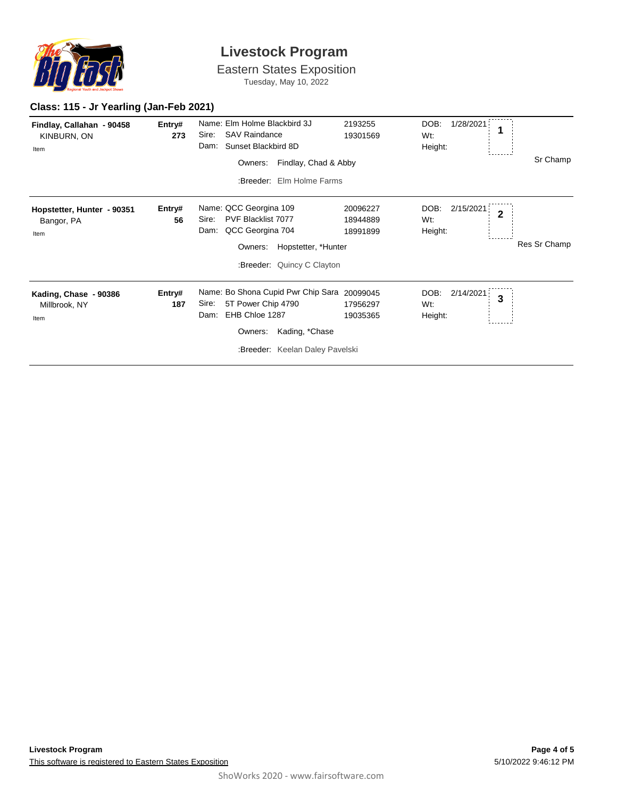

Eastern States Exposition

Tuesday, May 10, 2022

### **Class: 115 - Jr Yearling (Jan-Feb 2021)**

| Findlay, Callahan - 90458<br>KINBURN, ON<br>Item | Entry#<br>273 | Name: Elm Holme Blackbird 3J<br><b>SAV Raindance</b><br>Sire:<br>Sunset Blackbird 8D<br>Dam:<br>Findlay, Chad & Abby<br>Owners:<br>:Breeder: Elm Holme Farms         | 2193255<br>19301569              | DOB:<br>1/28/2021<br>1<br>Wt:<br>Height:              | Sr Champ     |
|--------------------------------------------------|---------------|----------------------------------------------------------------------------------------------------------------------------------------------------------------------|----------------------------------|-------------------------------------------------------|--------------|
| Hopstetter, Hunter - 90351<br>Bangor, PA<br>Item | Entry#<br>56  | Name: QCC Georgina 109<br><b>PVF Blacklist 7077</b><br>Sire:<br>QCC Georgina 704<br>Dam:<br>Hopstetter, *Hunter<br>Owners:<br>:Breeder: Quincy C Clayton             | 20096227<br>18944889<br>18991899 | DOB:<br>2/15/2021<br>$\overline{2}$<br>Wt:<br>Height: | Res Sr Champ |
| Kading, Chase - 90386<br>Millbrook, NY<br>Item   | Entry#<br>187 | Name: Bo Shona Cupid Pwr Chip Sara 20099045<br>Sire:<br>5T Power Chip 4790<br>EHB Chloe 1287<br>Dam:<br>Kading, *Chase<br>Owners:<br>:Breeder: Keelan Daley Pavelski | 17956297<br>19035365             | DOB:<br>2/14/2021<br>3<br>Wt:<br>Height:              |              |